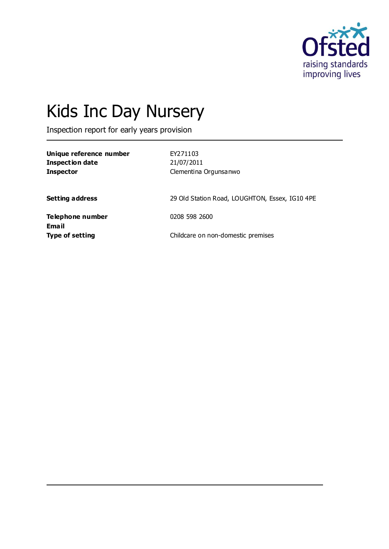

# Kids Inc Day Nursery

Inspection report for early years provision

| Unique reference number<br><b>Inspection date</b><br><b>Inspector</b> | EY271103<br>21/07/2011<br>Clementina Orgunsanwo |
|-----------------------------------------------------------------------|-------------------------------------------------|
| <b>Setting address</b>                                                | 29 Old Station Road, LOUGHTON, Essex, IG10 4PE  |
| <b>Telephone number</b><br><b>Email</b>                               | 0208 598 2600                                   |
| <b>Type of setting</b>                                                | Childcare on non-domestic premises              |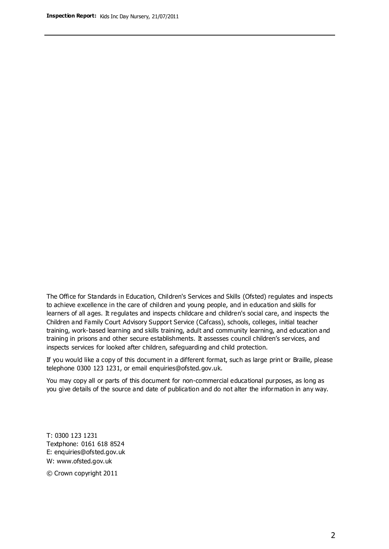The Office for Standards in Education, Children's Services and Skills (Ofsted) regulates and inspects to achieve excellence in the care of children and young people, and in education and skills for learners of all ages. It regulates and inspects childcare and children's social care, and inspects the Children and Family Court Advisory Support Service (Cafcass), schools, colleges, initial teacher training, work-based learning and skills training, adult and community learning, and education and training in prisons and other secure establishments. It assesses council children's services, and inspects services for looked after children, safeguarding and child protection.

If you would like a copy of this document in a different format, such as large print or Braille, please telephone 0300 123 1231, or email enquiries@ofsted.gov.uk.

You may copy all or parts of this document for non-commercial educational purposes, as long as you give details of the source and date of publication and do not alter the information in any way.

T: 0300 123 1231 Textphone: 0161 618 8524 E: enquiries@ofsted.gov.uk W: [www.ofsted.gov.uk](http://www.ofsted.gov.uk/)

© Crown copyright 2011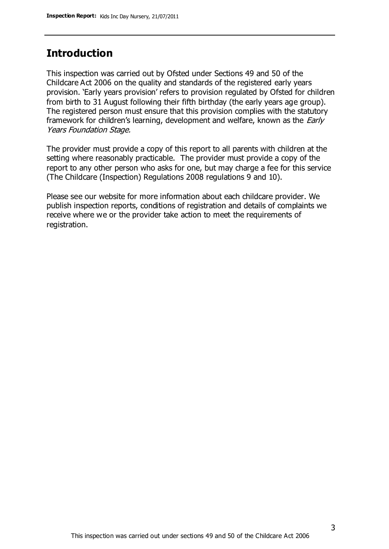## **Introduction**

This inspection was carried out by Ofsted under Sections 49 and 50 of the Childcare Act 2006 on the quality and standards of the registered early years provision. 'Early years provision' refers to provision regulated by Ofsted for children from birth to 31 August following their fifth birthday (the early years age group). The registered person must ensure that this provision complies with the statutory framework for children's learning, development and welfare, known as the *Early* Years Foundation Stage.

The provider must provide a copy of this report to all parents with children at the setting where reasonably practicable. The provider must provide a copy of the report to any other person who asks for one, but may charge a fee for this service (The Childcare (Inspection) Regulations 2008 regulations 9 and 10).

Please see our website for more information about each childcare provider. We publish inspection reports, conditions of registration and details of complaints we receive where we or the provider take action to meet the requirements of registration.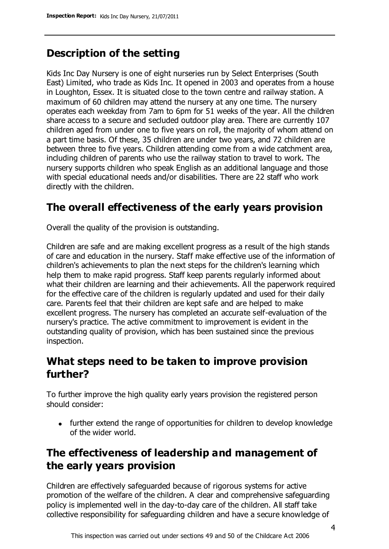# **Description of the setting**

Kids Inc Day Nursery is one of eight nurseries run by Select Enterprises (South East) Limited, who trade as Kids Inc. It opened in 2003 and operates from a house in Loughton, Essex. It is situated close to the town centre and railway station. A maximum of 60 children may attend the nursery at any one time. The nursery operates each weekday from 7am to 6pm for 51 weeks of the year. All the children share access to a secure and secluded outdoor play area. There are currently 107 children aged from under one to five years on roll, the majority of whom attend on a part time basis. Of these, 35 children are under two years, and 72 children are between three to five years. Children attending come from a wide catchment area, including children of parents who use the railway station to travel to work. The nursery supports children who speak English as an additional language and those with special educational needs and/or disabilities. There are 22 staff who work directly with the children.

## **The overall effectiveness of the early years provision**

Overall the quality of the provision is outstanding.

Children are safe and are making excellent progress as a result of the high stands of care and education in the nursery. Staff make effective use of the information of children's achievements to plan the next steps for the children's learning which help them to make rapid progress. Staff keep parents regularly informed about what their children are learning and their achievements. All the paperwork required for the effective care of the children is regularly updated and used for their daily care. Parents feel that their children are kept safe and are helped to make excellent progress. The nursery has completed an accurate self-evaluation of the nursery's practice. The active commitment to improvement is evident in the outstanding quality of provision, which has been sustained since the previous inspection.

## **What steps need to be taken to improve provision further?**

To further improve the high quality early years provision the registered person should consider:

• further extend the range of opportunities for children to develop knowledge of the wider world.

# **The effectiveness of leadership and management of the early years provision**

Children are effectively safeguarded because of rigorous systems for active promotion of the welfare of the children. A clear and comprehensive safeguarding policy is implemented well in the day-to-day care of the children. All staff take collective responsibility for safeguarding children and have a secure knowledge of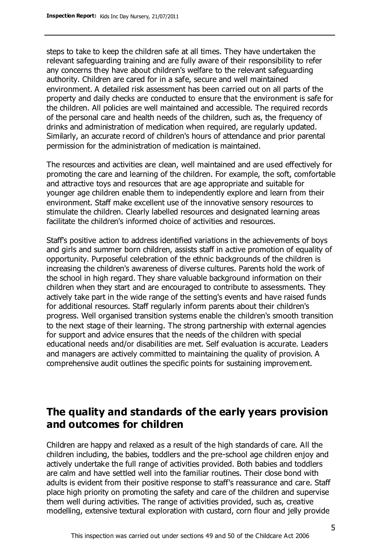steps to take to keep the children safe at all times. They have undertaken the relevant safeguarding training and are fully aware of their responsibility to refer any concerns they have about children's welfare to the relevant safeguarding authority. Children are cared for in a safe, secure and well maintained environment. A detailed risk assessment has been carried out on all parts of the property and daily checks are conducted to ensure that the environment is safe for the children. All policies are well maintained and accessible. The required records of the personal care and health needs of the children, such as, the frequency of drinks and administration of medication when required, are regularly updated. Similarly, an accurate record of children's hours of attendance and prior parental permission for the administration of medication is maintained.

The resources and activities are clean, well maintained and are used effectively for promoting the care and learning of the children. For example, the soft, comfortable and attractive toys and resources that are age appropriate and suitable for younger age children enable them to independently explore and learn from their environment. Staff make excellent use of the innovative sensory resources to stimulate the children. Clearly labelled resources and designated learning areas facilitate the children's informed choice of activities and resources.

Staff's positive action to address identified variations in the achievements of boys and girls and summer born children, assists staff in active promotion of equality of opportunity. Purposeful celebration of the ethnic backgrounds of the children is increasing the children's awareness of diverse cultures. Parents hold the work of the school in high regard. They share valuable background information on their children when they start and are encouraged to contribute to assessments. They actively take part in the wide range of the setting's events and have raised funds for additional resources. Staff regularly inform parents about their children's progress. Well organised transition systems enable the children's smooth transition to the next stage of their learning. The strong partnership with external agencies for support and advice ensures that the needs of the children with special educational needs and/or disabilities are met. Self evaluation is accurate. Leaders and managers are actively committed to maintaining the quality of provision. A comprehensive audit outlines the specific points for sustaining improvement.

## **The quality and standards of the early years provision and outcomes for children**

Children are happy and relaxed as a result of the high standards of care. All the children including, the babies, toddlers and the pre-school age children enjoy and actively undertake the full range of activities provided. Both babies and toddlers are calm and have settled well into the familiar routines. Their close bond with adults is evident from their positive response to staff's reassurance and care. Staff place high priority on promoting the safety and care of the children and supervise them well during activities. The range of activities provided, such as, creative modelling, extensive textural exploration with custard, corn flour and jelly provide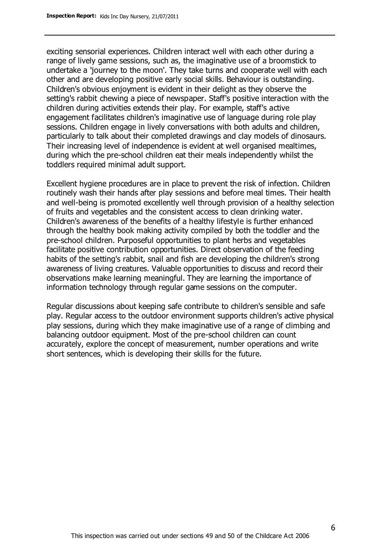exciting sensorial experiences. Children interact well with each other during a range of lively game sessions, such as, the imaginative use of a broomstick to undertake a 'journey to the moon'. They take turns and cooperate well with each other and are developing positive early social skills. Behaviour is outstanding. Children's obvious enjoyment is evident in their delight as they observe the setting's rabbit chewing a piece of newspaper. Staff's positive interaction with the children during activities extends their play. For example, staff's active engagement facilitates children's imaginative use of language during role play sessions. Children engage in lively conversations with both adults and children, particularly to talk about their completed drawings and clay models of dinosaurs. Their increasing level of independence is evident at well organised mealtimes, during which the pre-school children eat their meals independently whilst the toddlers required minimal adult support.

Excellent hygiene procedures are in place to prevent the risk of infection. Children routinely wash their hands after play sessions and before meal times. Their health and well-being is promoted excellently well through provision of a healthy selection of fruits and vegetables and the consistent access to clean drinking water. Children's awareness of the benefits of a healthy lifestyle is further enhanced through the healthy book making activity compiled by both the toddler and the pre-school children. Purposeful opportunities to plant herbs and vegetables facilitate positive contribution opportunities. Direct observation of the feeding habits of the setting's rabbit, snail and fish are developing the children's strong awareness of living creatures. Valuable opportunities to discuss and record their observations make learning meaningful. They are learning the importance of information technology through regular game sessions on the computer.

Regular discussions about keeping safe contribute to children's sensible and safe play. Regular access to the outdoor environment supports children's active physical play sessions, during which they make imaginative use of a range of climbing and balancing outdoor equipment. Most of the pre-school children can count accurately, explore the concept of measurement, number operations and write short sentences, which is developing their skills for the future.